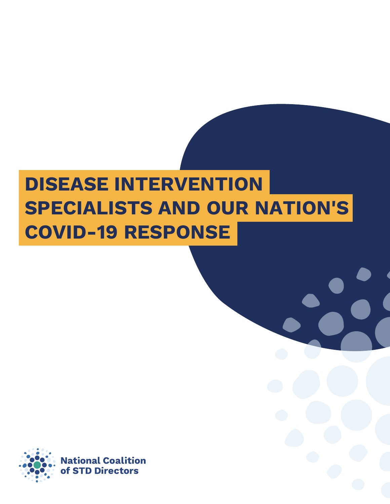# **SPECIALISTS AND OUR NATION'S COVID-19 RESPONSE DISEASE INTERVENTION**

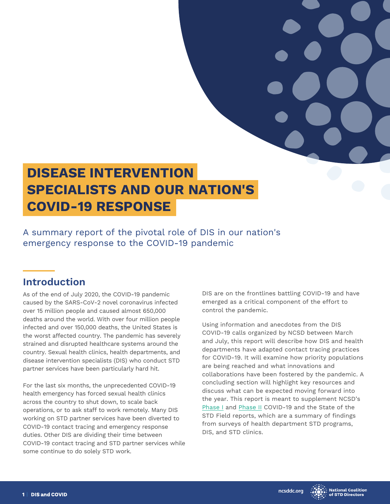# **SPECIALISTS AND OUR NATION'S COVID-19 RESPONSE DISEASE INTERVENTION**

A summary report of the pivotal role of DIS in our nation's emergency response to the COVID-19 pandemic

# **Introduction**

As of the end of July 2020, the COVID-19 pandemic caused by the SARS-CoV-2 novel coronavirus infected over 15 million people and caused almost 650,000 deaths around the world. With over four million people infected and over 150,000 deaths, the United States is the worst affected country. The pandemic has severely strained and disrupted healthcare systems around the country. Sexual health clinics, health departments, and disease intervention specialists (DIS) who conduct STD partner services have been particularly hard hit.

For the last six months, the unprecedented COVID-19 health emergency has forced sexual health clinics across the country to shut down, to scale back operations, or to ask staff to work remotely. Many DIS working on STD partner services have been diverted to COVID-19 contact tracing and emergency response duties. Other DIS are dividing their time between COVID-19 contact tracing and STD partner services while some continue to do solely STD work.

DIS are on the frontlines battling COVID-19 and have emerged as a critical component of the effort to control the pandemic.

Using information and anecdotes from the DIS COVID-19 calls organized by NCSD between March and July, this report will describe how DIS and health departments have adapted contact tracing practices for COVID-19. It will examine how priority populations are being reached and what innovations and collaborations have been fostered by the pandemic. A concluding section will highlight key resources and discuss what can be expected moving forward into the year. This report is meant to supplement NCSD's [Phase I](https://www.ncsddc.org/resource/covid-19-and-the-state-of-the-std-field/) and [Phase II](https://www.ncsddc.org/resource/covid-19-the-state-of-the-std-field-phase-ii/) COVID-19 and the State of the STD Field reports, which are a summary of findings from surveys of health department STD programs, DIS, and STD clinics.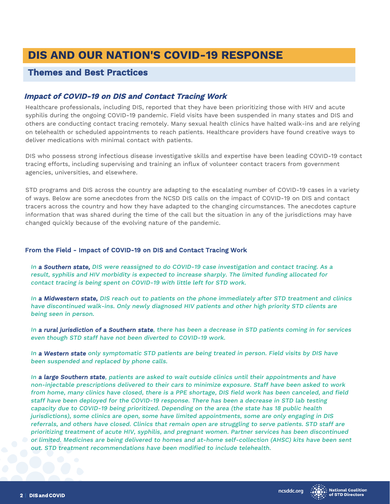# **DIS AND OUR NATION'S COVID-19 RESPONSE**

### **Themes and Best Practices**

#### **Impact of COVID-19 on DIS and Contact Tracing Work**

Healthcare professionals, including DIS, reported that they have been prioritizing those with HIV and acute syphilis during the ongoing COVID-19 pandemic. Field visits have been suspended in many states and DIS and others are conducting contact tracing remotely. Many sexual health clinics have halted walk-ins and are relying on telehealth or scheduled appointments to reach patients. Healthcare providers have found creative ways to deliver medications with minimal contact with patients.

DIS who possess strong infectious disease investigative skills and expertise have been leading COVID-19 contact tracing efforts, including supervising and training an influx of volunteer contact tracers from government agencies, universities, and elsewhere.

STD programs and DIS across the country are adapting to the escalating number of COVID-19 cases in a variety of ways. Below are some anecdotes from the NCSD DIS calls on the impact of COVID-19 on DIS and contact tracers across the country and how they have adapted to the changing circumstances. The anecdotes capture information that was shared during the time of the call but the situation in any of the jurisdictions may have changed quickly because of the evolving nature of the pandemic.

#### From the Field - Impact of COVID-19 on DIS and Contact Tracing Work

In **a Southern state,** DIS were reassigned to do COVID-19 case investigation and contact tracing. As a result, syphilis and HIV morbidity is expected to increase sharply. The limited funding allocated for contact tracing is being spent on COVID-19 with little left for STD work.

In a Midwestern state, DIS reach out to patients on the phone immediately after STD treatment and clinics have discontinued walk-ins. Only newly diagnosed HIV patients and other high priority STD clients are being seen in person.

In a rural jurisdiction of a Southern state, there has been a decrease in STD patients coming in for services even though STD staff have not been diverted to COVID-19 work.

In a Western state only symptomatic STD patients are being treated in person. Field visits by DIS have been suspended and replaced by phone calls.

In a large Southern state, patients are asked to wait outside clinics until their appointments and have non-injectable prescriptions delivered to their cars to minimize exposure. Staff have been asked to work from home, many clinics have closed, there is a PPE shortage, DIS field work has been canceled, and field staff have been deployed for the COVID-19 response. There has been a decrease in STD lab testing capacity due to COVID-19 being prioritized. Depending on the area (the state has 18 public health jurisdictions), some clinics are open, some have limited appointments, some are only engaging in DIS referrals, and others have closed. Clinics that remain open are struggling to serve patients. STD staff are prioritizing treatment of acute HIV, syphilis, and pregnant women. Partner services has been discontinued or limited. Medicines are being delivered to homes and at-home self-collection (AHSC) kits have been sent out. STD treatment recommendations have been modified to include telehealth.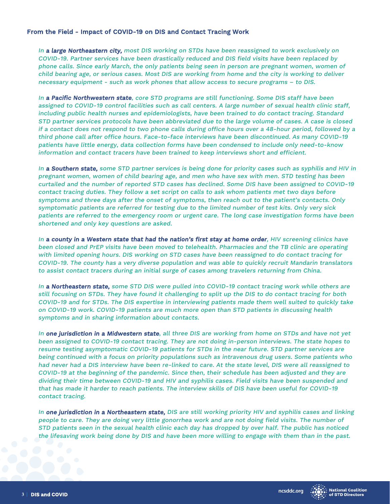#### From the Field - Impact of COVID-19 on DIS and Contact Tracing Work

In a large Northeastern city, most DIS working on STDs have been reassigned to work exclusively on COVID-19. Partner services have been drastically reduced and DIS field visits have been replaced by phone calls. Since early March, the only patients being seen in person are pregnant women, women of child bearing age, or serious cases. Most DIS are working from home and the city is working to deliver necessary equipment - such as work phones that allow access to secure programs – to DIS.

In a Pacific Northwestern state, core STD programs are still functioning. Some DIS staff have been assigned to COVID-19 control facilities such as call centers. A large number of sexual health clinic staff, including public health nurses and epidemiologists, have been trained to do contact tracing. Standard STD partner services protocols have been abbreviated due to the large volume of cases. A case is closed if a contact does not respond to two phone calls during office hours over a 48-hour period, followed by a third phone call after office hours. Face-to-face interviews have been discontinued. As many COVID-19 patients have little energy, data collection forms have been condensed to include only need-to-know information and contact tracers have been trained to keep interviews short and efficient.

In a Southern state, some STD partner services is being done for priority cases such as syphilis and HIV in pregnant women, women of child bearing age, and men who have sex with men. STD testing has been curtailed and the number of reported STD cases has declined. Some DIS have been assigned to COVID-19 contact tracing duties. They follow a set script on calls to ask whom patients met two days before symptoms and three days after the onset of symptoms, then reach out to the patient's contacts. Only symptomatic patients are referred for testing due to the limited number of test kits. Only very sick patients are referred to the emergency room or urgent care. The long case investigation forms have been shortened and only key questions are asked.

In a county in a Western state that had the nation's first stay at home order, HIV screening clinics have been closed and PrEP visits have been moved to telehealth. Pharmacies and the TB clinic are operating with limited opening hours. DIS working on STD cases have been reassigned to do contact tracing for COVID-19. The county has a very diverse population and was able to quickly recruit Mandarin translators to assist contact tracers during an initial surge of cases among travelers returning from China.

In a Northeastern state, some STD DIS were pulled into COVID-19 contact tracing work while others are still focusing on STDs. They have found it challenging to split up the DIS to do contact tracing for both COVID-19 and for STDs. The DIS expertise in interviewing patients made them well suited to quickly take on COVID-19 work. COVID-19 patients are much more open than STD patients in discussing health symptoms and in sharing information about contacts.

In one jurisdiction in a Midwestern state, all three DIS are working from home on STDs and have not yet been assigned to COVID-19 contact tracing. They are not doing in-person interviews. The state hopes to resume testing asymptomatic COVID-19 patients for STDs in the near future. STD partner services are being continued with a focus on priority populations such as intravenous drug users. Some patients who had never had a DIS interview have been re-linked to care. At the state level, DIS were all reassigned to COVID-19 at the beginning of the pandemic. Since then, their schedule has been adjusted and they are dividing their time between COVID-19 and HIV and syphilis cases. Field visits have been suspended and that has made it harder to reach patients. The interview skills of DIS have been useful for COVID-19 contact tracing.

In one jurisdiction in a Northeastern state, DIS are still working priority HIV and syphilis cases and linking people to care. They are doing very little gonorrhea work and are not doing field visits. The number of STD patients seen in the sexual health clinic each day has dropped by over half. The public has noticed the lifesaving work being done by DIS and have been more willing to engage with them than in the past.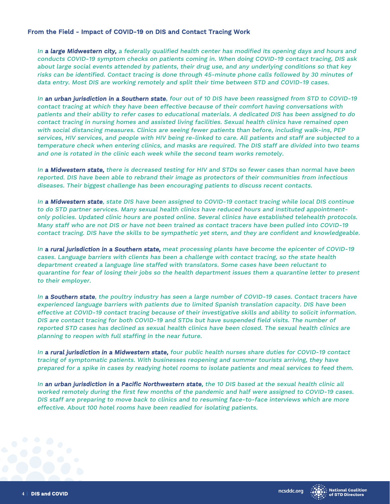#### From the Field - Impact of COVID-19 on DIS and Contact Tracing Work

In a large Midwestern city, a federally qualified health center has modified its opening days and hours and conducts COVID-19 symptom checks on patients coming in. When doing COVID-19 contact tracing, DIS ask about large social events attended by patients, their drug use, and any underlying conditions so that key risks can be identified. Contact tracing is done through 45-minute phone calls followed by 30 minutes of data entry. Most DIS are working remotely and split their time between STD and COVID-19 cases.

In an urban jurisdiction in a Southern state, four out of 10 DIS have been reassigned from STD to COVID-19 contact tracing at which they have been effective because of their comfort having conversations with patients and their ability to refer cases to educational materials. A dedicated DIS has been assigned to do contact tracing in nursing homes and assisted living facilities. Sexual health clinics have remained open with social distancing measures. Clinics are seeing fewer patients than before, including walk-ins, PEP services, HIV services, and people with HIV being re-linked to care. All patients and staff are subjected to a temperature check when entering clinics, and masks are required. The DIS staff are divided into two teams and one is rotated in the clinic each week while the second team works remotely.

In a Midwestern state, there is decreased testing for HIV and STDs so fewer cases than normal have been reported. DIS have been able to rebrand their image as protectors of their communities from infectious diseases. Their biggest challenge has been encouraging patients to discuss recent contacts.

In **a Midwestern state**, state DIS have been assigned to COVID-19 contact tracing while local DIS continue to do STD partner services. Many sexual health clinics have reduced hours and instituted appointmentonly policies. Updated clinic hours are posted online. Several clinics have established telehealth protocols. Many staff who are not DIS or have not been trained as contact tracers have been pulled into COVID-19 contact tracing. DIS have the skills to be sympathetic yet stern, and they are confident and knowledgeable.

In a rural jurisdiction in a Southern state, meat processing plants have become the epicenter of COVID-19 cases. Language barriers with clients has been a challenge with contact tracing, so the state health department created a language line staffed with translators. Some cases have been reluctant to quarantine for fear of losing their jobs so the health department issues them a quarantine letter to present to their employer.

In a Southern state, the poultry industry has seen a large number of COVID-19 cases. Contact tracers have experienced language barriers with patients due to limited Spanish translation capacity. DIS have been effective at COVID-19 contact tracing because of their investigative skills and ability to solicit information. DIS are contact tracing for both COVID-19 and STDs but have suspended field visits. The number of reported STD cases has declined as sexual health clinics have been closed. The sexual health clinics are planning to reopen with full staffing in the near future.

In a rural jurisdiction in a Midwestern state, four public health nurses share duties for COVID-19 contact tracing of symptomatic patients. With businesses reopening and summer tourists arriving, they have prepared for a spike in cases by readying hotel rooms to isolate patients and meal services to feed them.

In an urban jurisdiction in a Pacific Northwestern state, the 10 DIS based at the sexual health clinic all worked remotely during the first few months of the pandemic and half were assigned to COVID-19 cases. DIS staff are preparing to move back to clinics and to resuming face-to-face interviews which are more effective. About 100 hotel rooms have been readied for isolating patients.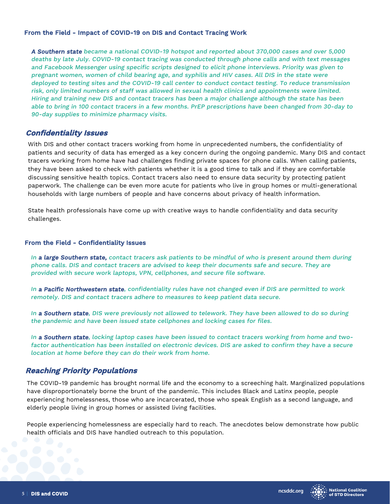#### From the Field - Impact of COVID-19 on DIS and Contact Tracing Work

A Southern state became a national COVID-19 hotspot and reported about 370,000 cases and over 5,000 deaths by late July. COVID-19 contact tracing was conducted through phone calls and with text messages and Facebook Messenger using specific scripts designed to elicit phone interviews. Priority was given to pregnant women, women of child bearing age, and syphilis and HIV cases. All DIS in the state were deployed to testing sites and the COVID-19 call center to conduct contact testing. To reduce transmission risk, only limited numbers of staff was allowed in sexual health clinics and appointments were limited. Hiring and training new DIS and contact tracers has been a major challenge although the state has been able to bring in 100 contact tracers in a few months. PrEP prescriptions have been changed from 30-day to 90-day supplies to minimize pharmacy visits.

#### **Confidentiality Issues**

With DIS and other contact tracers working from home in unprecedented numbers, the confidentiality of patients and security of data has emerged as a key concern during the ongoing pandemic. Many DIS and contact tracers working from home have had challenges finding private spaces for phone calls. When calling patients, they have been asked to check with patients whether it is a good time to talk and if they are comfortable discussing sensitive health topics. Contact tracers also need to ensure data security by protecting patient paperwork. The challenge can be even more acute for patients who live in group homes or multi-generational households with large numbers of people and have concerns about privacy of health information.

State health professionals have come up with creative ways to handle confidentiality and data security challenges.

#### From the Field - Confidentiality Issues

In a large Southern state, contact tracers ask patients to be mindful of who is present around them during phone calls. DIS and contact tracers are advised to keep their documents safe and secure. They are provided with secure work laptops, VPN, cellphones, and secure file software.

In a Pacific Northwestern state, confidentiality rules have not changed even if DIS are permitted to work remotely. DIS and contact tracers adhere to measures to keep patient data secure.

In a Southern state, DIS were previously not allowed to telework. They have been allowed to do so during the pandemic and have been issued state cellphones and locking cases for files.

In a Southern state, locking laptop cases have been issued to contact tracers working from home and twofactor authentication has been installed on electronic devices. DIS are asked to confirm they have a secure location at home before they can do their work from home.

#### **Reaching Priority Populations**

The COVID-19 pandemic has brought normal life and the economy to a screeching halt. Marginalized populations have disproportionately borne the brunt of the pandemic. This includes Black and Latinx people, people experiencing homelessness, those who are incarcerated, those who speak English as a second language, and elderly people living in group homes or assisted living facilities.

People experiencing homelessness are especially hard to reach. The anecdotes below demonstrate how public health officials and DIS have handled outreach to this population.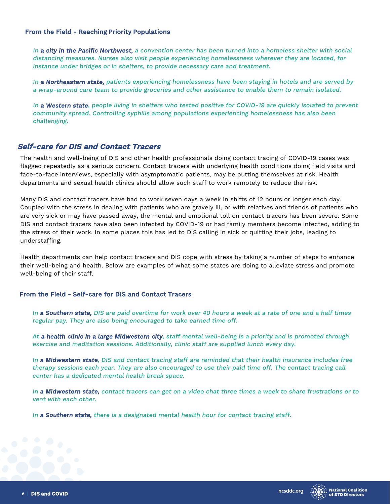#### From the Field - Reaching Priority Populations

In **a city in the Pacific Northwest**, a convention center has been turned into a homeless shelter with social distancing measures. Nurses also visit people experiencing homelessness wherever they are located, for instance under bridges or in shelters, to provide necessary care and treatment.

In a Northeastern state, patients experiencing homelessness have been staying in hotels and are served by a wrap-around care team to provide groceries and other assistance to enable them to remain isolated.

In a Western state, people living in shelters who tested positive for COVID-19 are quickly isolated to prevent community spread. Controlling syphilis among populations experiencing homelessness has also been challenging.

#### **Self-care for DIS and Contact Tracers**

The health and well-being of DIS and other health professionals doing contact tracing of COVID-19 cases was flagged repeatedly as a serious concern. Contact tracers with underlying health conditions doing field visits and face-to-face interviews, especially with asymptomatic patients, may be putting themselves at risk. Health departments and sexual health clinics should allow such staff to work remotely to reduce the risk.

Many DIS and contact tracers have had to work seven days a week in shifts of 12 hours or longer each day. Coupled with the stress in dealing with patients who are gravely ill, or with relatives and friends of patients who are very sick or may have passed away, the mental and emotional toll on contact tracers has been severe. Some DIS and contact tracers have also been infected by COVID-19 or had family members become infected, adding to the stress of their work. In some places this has led to DIS calling in sick or quitting their jobs, leading to understaffing.

Health departments can help contact tracers and DIS cope with stress by taking a number of steps to enhance their well-being and health. Below are examples of what some states are doing to alleviate stress and promote well-being of their staff.

#### From the Field - Self-care for DIS and Contact Tracers

In a Southern state, DIS are paid overtime for work over 40 hours a week at a rate of one and a half times regular pay. They are also being encouraged to take earned time off.

At a health clinic in a large Midwestern city, staff mental well-being is a priority and is promoted through exercise and meditation sessions. Additionally, clinic staff are supplied lunch every day.

In a Midwestern state, DIS and contact tracing staff are reminded that their health insurance includes free therapy sessions each year. They are also encouraged to use their paid time off. The contact tracing call center has a dedicated mental health break space.

In a Midwestern state, contact tracers can get on a video chat three times a week to share frustrations or to vent with each other.

In a Southern state, there is a designated mental health hour for contact tracing staff.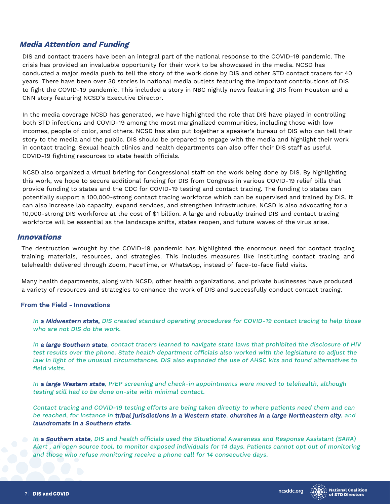#### **Media Attention and Funding**

DIS and contact tracers have been an integral part of the national response to the COVID-19 pandemic. The crisis has provided an invaluable opportunity for their work to be showcased in the media. NCSD has conducted a major media push to tell the story of the work done by DIS and other STD contact tracers for 40 years. There have been over 30 stories in national media outlets featuring the important contributions of DIS to fight the COVID-19 pandemic. This included a story in NBC nightly news featuring DIS from Houston and a CNN story featuring NCSD's Executive Director.

In the media coverage NCSD has generated, we have highlighted the role that DIS have played in controlling both STD infections and COVID-19 among the most marginalized communities, including those with low incomes, people of color, and others. NCSD has also put together a speaker's bureau of DIS who can tell their story to the media and the public. DIS should be prepared to engage with the media and highlight their work in contact tracing. Sexual health clinics and health departments can also offer their DIS staff as useful COVID-19 fighting resources to state health officials.

NCSD also organized a virtual briefing for Congressional staff on the work being done by DIS. By highlighting this work, we hope to secure additional funding for DIS from Congress in various COVID-19 relief bills that provide funding to states and the CDC for COVID-19 testing and contact tracing. The funding to states can potentially support a 100,000-strong contact tracing workforce which can be supervised and trained by DIS. It can also increase lab capacity, expand services, and strengthen infrastructure. NCSD is also advocating for a 10,000-strong DIS workforce at the cost of \$1 billion. A large and robustly trained DIS and contact tracing workforce will be essential as the landscape shifts, states reopen, and future waves of the virus arise.

#### **Innovations**

The destruction wrought by the COVID-19 pandemic has highlighted the enormous need for contact tracing training materials, resources, and strategies. This includes measures like instituting contact tracing and telehealth delivered through Zoom, FaceTime, or WhatsApp, instead of face-to-face field visits.

Many health departments, along with NCSD, other health organizations, and private businesses have produced a variety of resources and strategies to enhance the work of DIS and successfully conduct contact tracing.

#### From the Field - Innovations

In a Midwestern state, DIS created standard operating procedures for COVID-19 contact tracing to help those who are not DIS do the work.

In a large Southern state, contact tracers learned to navigate state laws that prohibited the disclosure of HIV test results over the phone. State health department officials also worked with the legislature to adjust the law in light of the unusual circumstances. DIS also expanded the use of AHSC kits and found alternatives to field visits.

In a large Western state, PrEP screening and check-in appointments were moved to telehealth, although testing still had to be done on-site with minimal contact.

Contact tracing and COVID-19 testing efforts are being taken directly to where patients need them and can be reached, for instance in tribal jurisdictions in a Western state, churches in a large Northeastern city, and laundromats in a Southern state.

In a Southern state, DIS and health officials used the Situational Awareness and Response Assistant (SARA) Alert , an open source tool, to monitor exposed individuals for 14 days. Patients cannot opt out of monitoring and those who refuse monitoring receive a phone call for 14 consecutive days.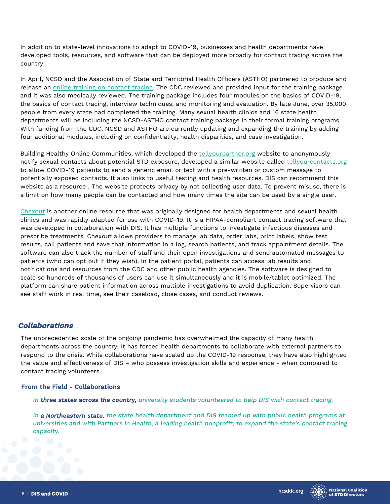In addition to state-level innovations to adapt to COVID-19, businesses and health departments have developed tools, resources, and software that can be deployed more broadly for contact tracing across the country.

In April, NCSD and the Association of State and Territorial Health Officers (ASTHO) partnered to produce and release an [online training on contact tracing.](https://learn.astho.org/products/making-contact-a-training-for-covid-19-contact-tracers) The CDC reviewed and provided input for the training package and it was also medically reviewed. The training package includes four modules on the basics of COVID-19, the basics of contact tracing, interview techniques, and monitoring and evaluation. By late June, over 35,000 people from every state had completed the training. Many sexual health clinics and 16 state health departments will be including the NCSD-ASTHO contact training package in their formal training programs. With funding from the CDC, NCSD and ASTHO are currently updating and expanding the training by adding four additional modules, including on confidentiality, health disparities, and case investigation.

Building Healthy Online Communities, which developed the<tellyourpartner.org>website to anonymously notify sexual contacts about potential STD exposure, developed a similar website called<tellyourcontacts.org> to allow COVID-19 patients to send a generic email or text with a pre-written or custom message to potentially exposed contacts. It also links to useful testing and health resources. DIS can recommend this website as a resource . The website protects privacy by not collecting user data. To prevent misuse, there is a limit on how many people can be contacted and how many times the site can be used by a single user.

[Chexout](https://www.chexout.com/) is another online resource that was originally designed for health departments and sexual health clinics and was rapidly adapted for use with COVID-19. It is a HIPAA-compliant contact tracing software that was developed in collaboration with DIS. It has multiple functions to investigate infectious diseases and prescribe treatments. Chexout allows providers to manage lab data, order labs, print labels, show test results, call patients and save that information in a log, search patients, and track appointment details. The software can also track the number of staff and their open investigations and send automated messages to patients (who can opt out if they wish). In the patient portal, patients can access lab results and notifications and resources from the CDC and other public health agencies. The software is designed to scale so hundreds of thousands of users can use it simultaneously and it is mobile/tablet optimized. The platform can share patient information across multiple investigations to avoid duplication. Supervisors can see staff work in real time, see their caseload, close cases, and conduct reviews.

#### **Collaborations**

The unprecedented scale of the ongoing pandemic has overwhelmed the capacity of many health departments across the country. It has forced health departments to collaborate with external partners to respond to the crisis. While collaborations have scaled up the COVID-19 response, they have also highlighted the value and effectiveness of DIS – who possess investigation skills and experience - when compared to contact tracing volunteers.

#### From the Field - Collaborations

In three states across the country, university students volunteered to help DIS with contact tracing.

In a Northeastern state, the state health department and DIS teamed up with public health programs at universities and with Partners in Health, a leading health nonprofit, to expand the state's contact tracing capacity.